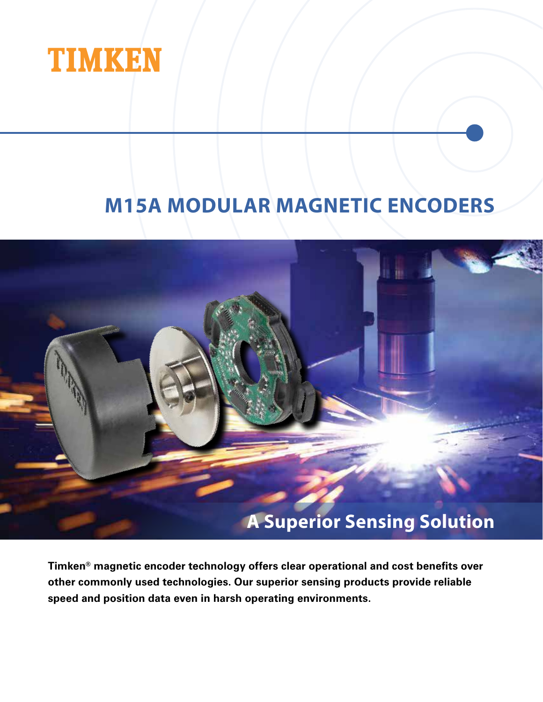

# **M15A MODULAR MAGNETIC ENCODERS**



**Timken® magnetic encoder technology offers clear operational and cost benefits over other commonly used technologies. Our superior sensing products provide reliable speed and position data even in harsh operating environments.**